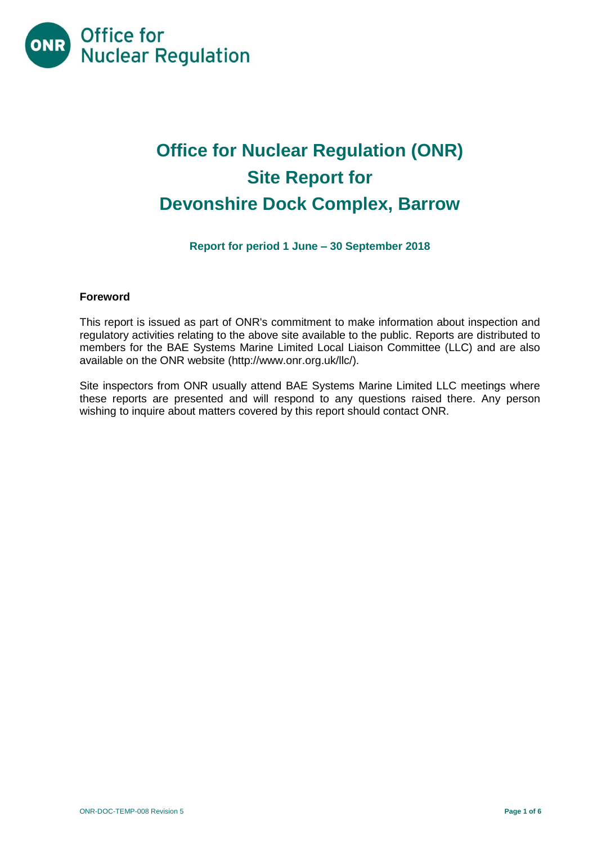

# **Office for Nuclear Regulation (ONR) Site Report for Devonshire Dock Complex, Barrow**

**Report for period 1 June – 30 September 2018**

# **Foreword**

This report is issued as part of ONR's commitment to make information about inspection and regulatory activities relating to the above site available to the public. Reports are distributed to members for the BAE Systems Marine Limited Local Liaison Committee (LLC) and are also available on the ONR website [\(http://www.onr.org.uk/llc/\)](http://www.onr.org.uk/llc/).

Site inspectors from ONR usually attend BAE Systems Marine Limited LLC meetings where these reports are presented and will respond to any questions raised there. Any person wishing to inquire about matters covered by this report should contact ONR.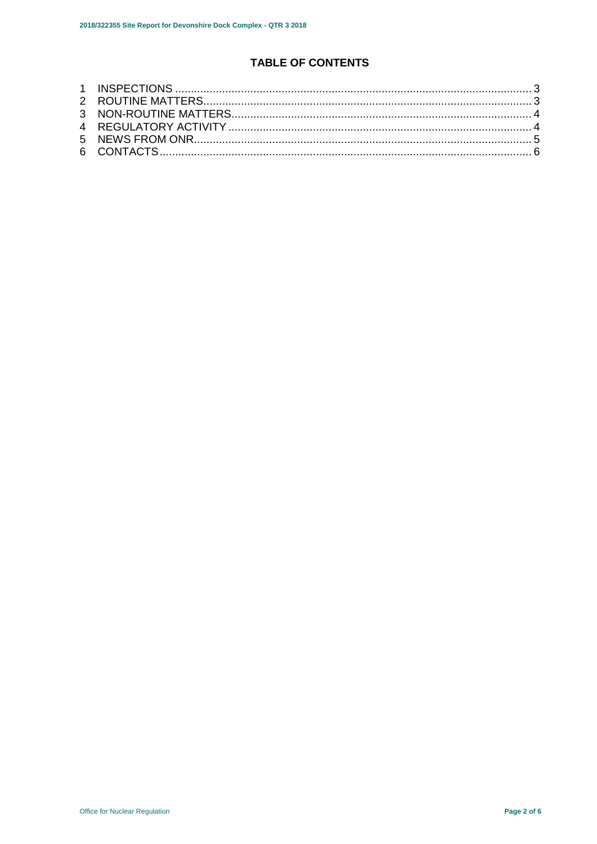# **TABLE OF CONTENTS**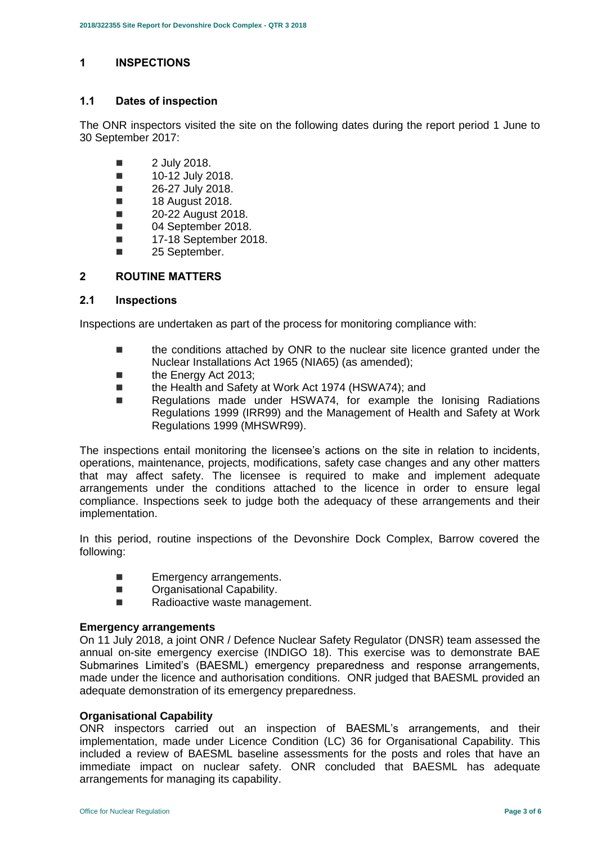# <span id="page-2-0"></span>**1 INSPECTIONS**

# **1.1 Dates of inspection**

The ONR inspectors visited the site on the following dates during the report period 1 June to 30 September 2017:

- $\blacksquare$  2 July 2018.
- $\blacksquare$  10-12 July 2018.
- $\blacksquare$  26-27 July 2018.
- **18 August 2018.**
- **20-22 August 2018.**
- **04 September 2018.**
- **17-18 September 2018.**
- **25 September.**

# <span id="page-2-1"></span>**2 ROUTINE MATTERS**

#### **2.1 Inspections**

Inspections are undertaken as part of the process for monitoring compliance with:

- the conditions attached by ONR to the nuclear site licence granted under the Nuclear Installations Act 1965 (NIA65) (as amended);
- the Energy Act 2013;
- the Health and Safety at Work Act 1974 (HSWA74); and
- Regulations made under HSWA74, for example the Ionising Radiations Regulations 1999 (IRR99) and the Management of Health and Safety at Work Regulations 1999 (MHSWR99).

The inspections entail monitoring the licensee's actions on the site in relation to incidents, operations, maintenance, projects, modifications, safety case changes and any other matters that may affect safety. The licensee is required to make and implement adequate arrangements under the conditions attached to the licence in order to ensure legal compliance. Inspections seek to judge both the adequacy of these arrangements and their implementation.

In this period, routine inspections of the Devonshire Dock Complex, Barrow covered the following:

- **Emergency arrangements.**
- **Dranisational Capability.**
- Radioactive waste management.

#### **Emergency arrangements**

On 11 July 2018, a joint ONR / Defence Nuclear Safety Regulator (DNSR) team assessed the annual on-site emergency exercise (INDIGO 18). This exercise was to demonstrate BAE Submarines Limited's (BAESML) emergency preparedness and response arrangements, made under the licence and authorisation conditions. ONR judged that BAESML provided an adequate demonstration of its emergency preparedness.

#### **Organisational Capability**

ONR inspectors carried out an inspection of BAESML's arrangements, and their implementation, made under Licence Condition (LC) 36 for Organisational Capability. This included a review of BAESML baseline assessments for the posts and roles that have an immediate impact on nuclear safety. ONR concluded that BAESML has adequate arrangements for managing its capability.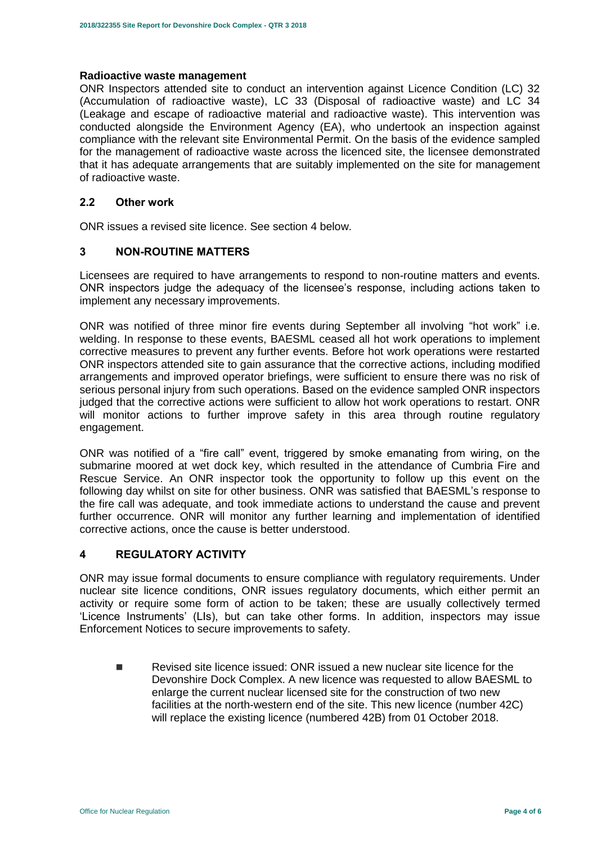#### **Radioactive waste management**

ONR Inspectors attended site to conduct an intervention against Licence Condition (LC) 32 (Accumulation of radioactive waste), LC 33 (Disposal of radioactive waste) and LC 34 (Leakage and escape of radioactive material and radioactive waste). This intervention was conducted alongside the Environment Agency (EA), who undertook an inspection against compliance with the relevant site Environmental Permit. On the basis of the evidence sampled for the management of radioactive waste across the licenced site, the licensee demonstrated that it has adequate arrangements that are suitably implemented on the site for management of radioactive waste.

#### **2.2 Other work**

ONR issues a revised site licence. See section 4 below.

# <span id="page-3-0"></span>**3 NON-ROUTINE MATTERS**

Licensees are required to have arrangements to respond to non-routine matters and events. ONR inspectors judge the adequacy of the licensee's response, including actions taken to implement any necessary improvements.

ONR was notified of three minor fire events during September all involving "hot work" i.e. welding. In response to these events, BAESML ceased all hot work operations to implement corrective measures to prevent any further events. Before hot work operations were restarted ONR inspectors attended site to gain assurance that the corrective actions, including modified arrangements and improved operator briefings, were sufficient to ensure there was no risk of serious personal injury from such operations. Based on the evidence sampled ONR inspectors judged that the corrective actions were sufficient to allow hot work operations to restart. ONR will monitor actions to further improve safety in this area through routine regulatory engagement.

ONR was notified of a "fire call" event, triggered by smoke emanating from wiring, on the submarine moored at wet dock key, which resulted in the attendance of Cumbria Fire and Rescue Service. An ONR inspector took the opportunity to follow up this event on the following day whilst on site for other business. ONR was satisfied that BAESML's response to the fire call was adequate, and took immediate actions to understand the cause and prevent further occurrence. ONR will monitor any further learning and implementation of identified corrective actions, once the cause is better understood.

#### <span id="page-3-1"></span>**4 REGULATORY ACTIVITY**

ONR may issue formal documents to ensure compliance with regulatory requirements. Under nuclear site licence conditions, ONR issues regulatory documents, which either permit an activity or require some form of action to be taken; these are usually collectively termed 'Licence Instruments' (LIs), but can take other forms. In addition, inspectors may issue Enforcement Notices to secure improvements to safety.

<span id="page-3-2"></span> Revised site licence issued: ONR issued a new nuclear site licence for the Devonshire Dock Complex. A new licence was requested to allow BAESML to enlarge the current nuclear licensed site for the construction of two new facilities at the north-western end of the site. This new licence (number 42C) will replace the existing licence (numbered 42B) from 01 October 2018.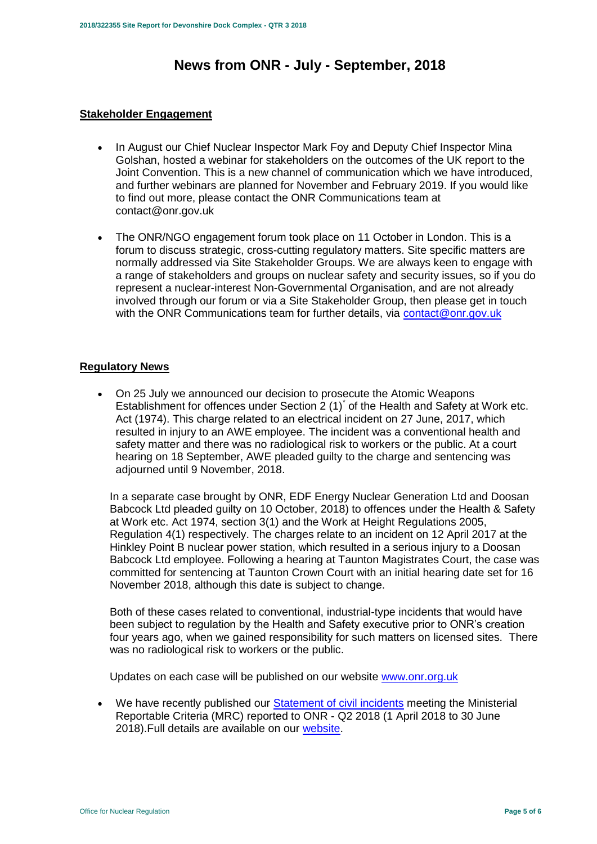# **News from ONR - July - September, 2018**

#### **Stakeholder Engagement**

- In August our Chief Nuclear Inspector Mark Foy and Deputy Chief Inspector Mina Golshan, hosted a webinar for stakeholders on the outcomes of the UK report to the Joint Convention. This is a new channel of communication which we have introduced, and further webinars are planned for November and February 2019. If you would like to find out more, please contact the ONR Communications team at contact@onr.gov.uk
- The ONR/NGO engagement forum took place on 11 October in London. This is a forum to discuss strategic, cross-cutting regulatory matters. Site specific matters are normally addressed via Site Stakeholder Groups. We are always keen to engage with a range of stakeholders and groups on nuclear safety and security issues, so if you do represent a nuclear-interest Non-Governmental Organisation, and are not already involved through our forum or via a Site Stakeholder Group, then please get in touch with the ONR Communications team for further details, via [contact@onr.gov.uk](mailto:contact@onr.gov.uk)

# **Regulatory News**

 On 25 July we announced our decision to prosecute the Atomic Weapons Establishment for offences under Section  $2(1)^{*}$  of the Health and Safety at Work etc. Act (1974). This charge related to an electrical incident on 27 June, 2017, which resulted in injury to an AWE employee. The incident was a conventional health and safety matter and there was no radiological risk to workers or the public. At a court hearing on 18 September, AWE pleaded guilty to the charge and sentencing was adjourned until 9 November, 2018.

In a separate case brought by ONR, EDF Energy Nuclear Generation Ltd and Doosan Babcock Ltd pleaded guilty on 10 October, 2018) to offences under the Health & Safety at Work etc. Act 1974, section 3(1) and the Work at Height Regulations 2005, Regulation 4(1) respectively. The charges relate to an incident on 12 April 2017 at the Hinkley Point B nuclear power station, which resulted in a serious injury to a Doosan Babcock Ltd employee. Following a hearing at Taunton Magistrates Court, the case was committed for sentencing at Taunton Crown Court with an initial hearing date set for 16 November 2018, although this date is subject to change.

Both of these cases related to conventional, industrial-type incidents that would have been subject to regulation by the Health and Safety executive prior to ONR's creation four years ago, when we gained responsibility for such matters on licensed sites. There was no radiological risk to workers or the public.

Updates on each case will be published on our website [www.onr.org.uk](http://www.onr.org.uk/)

 We have recently published our [Statement of civil incidents](http://www.onr.org.uk/quarterly-stat/2018-2.htm) meeting the Ministerial Reportable Criteria (MRC) reported to ONR - Q2 2018 (1 April 2018 to 30 June 2018).Full details are available on our [website.](http://www.onr.org.uk/quarterly-stat/2018-2.htm)